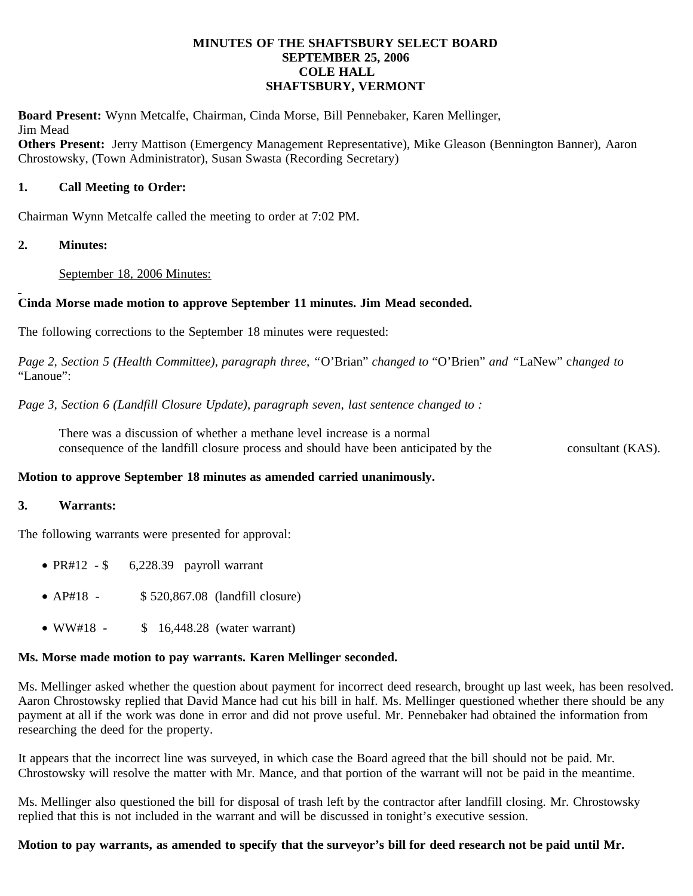#### **MINUTES OF THE SHAFTSBURY SELECT BOARD SEPTEMBER 25, 2006 COLE HALL SHAFTSBURY, VERMONT**

**Board Present:** Wynn Metcalfe, Chairman, Cinda Morse, Bill Pennebaker, Karen Mellinger, Jim Mead

**Others Present:** Jerry Mattison (Emergency Management Representative), Mike Gleason (Bennington Banner), Aaron Chrostowsky, (Town Administrator), Susan Swasta (Recording Secretary)

### **1. Call Meeting to Order:**

Chairman Wynn Metcalfe called the meeting to order at 7:02 PM.

### **2. Minutes:**

September 18, 2006 Minutes:

### **Cinda Morse made motion to approve September 11 minutes. Jim Mead seconded.**

The following corrections to the September 18 minutes were requested:

*Page 2, Section 5 (Health Committee), paragraph three, "*O'Brian" *changed to* "O'Brien" *and "*LaNew" c*hanged to* "Lanoue":

*Page 3, Section 6 (Landfill Closure Update), paragraph seven, last sentence changed to :*

There was a discussion of whether a methane level increase is a normal consequence of the landfill closure process and should have been anticipated by the consultant (KAS).

### **Motion to approve September 18 minutes as amended carried unanimously.**

#### **3. Warrants:**

The following warrants were presented for approval:

- PR#12  $\frac{1}{2}$  6,228.39 payroll warrant
- AP#18 \$ 520,867.08 (landfill closure)
- WW#18 \$ 16,448.28 (water warrant)

# **Ms. Morse made motion to pay warrants. Karen Mellinger seconded.**

Ms. Mellinger asked whether the question about payment for incorrect deed research, brought up last week, has been resolved. Aaron Chrostowsky replied that David Mance had cut his bill in half. Ms. Mellinger questioned whether there should be any payment at all if the work was done in error and did not prove useful. Mr. Pennebaker had obtained the information from researching the deed for the property.

It appears that the incorrect line was surveyed, in which case the Board agreed that the bill should not be paid. Mr. Chrostowsky will resolve the matter with Mr. Mance, and that portion of the warrant will not be paid in the meantime.

Ms. Mellinger also questioned the bill for disposal of trash left by the contractor after landfill closing. Mr. Chrostowsky replied that this is not included in the warrant and will be discussed in tonight's executive session.

# **Motion to pay warrants, as amended to specify that the surveyor's bill for deed research not be paid until Mr.**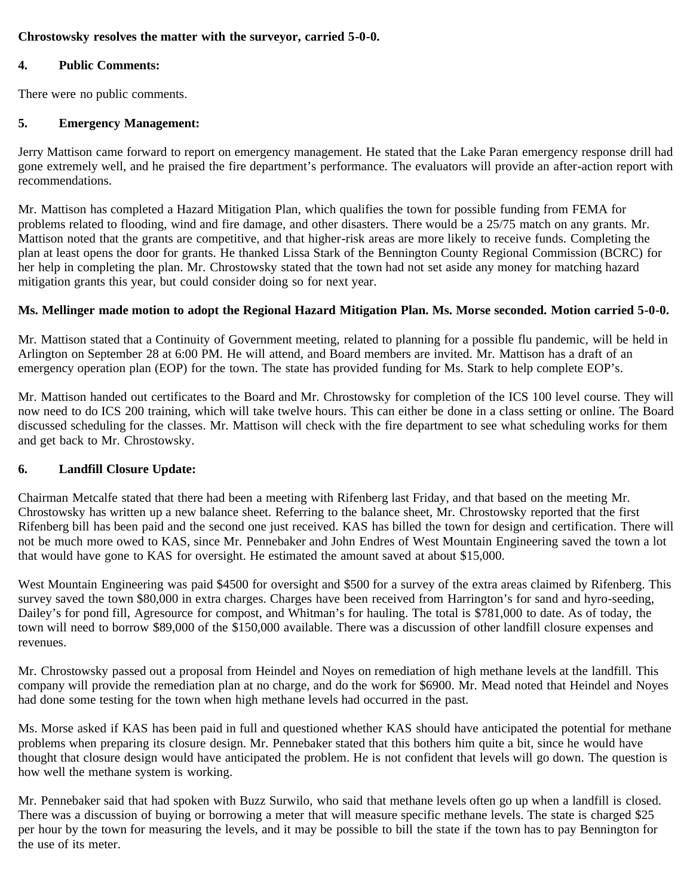### **Chrostowsky resolves the matter with the surveyor, carried 5-0-0.**

### **4. Public Comments:**

There were no public comments.

## **5. Emergency Management:**

Jerry Mattison came forward to report on emergency management. He stated that the Lake Paran emergency response drill had gone extremely well, and he praised the fire department's performance. The evaluators will provide an after-action report with recommendations.

Mr. Mattison has completed a Hazard Mitigation Plan, which qualifies the town for possible funding from FEMA for problems related to flooding, wind and fire damage, and other disasters. There would be a 25/75 match on any grants. Mr. Mattison noted that the grants are competitive, and that higher-risk areas are more likely to receive funds. Completing the plan at least opens the door for grants. He thanked Lissa Stark of the Bennington County Regional Commission (BCRC) for her help in completing the plan. Mr. Chrostowsky stated that the town had not set aside any money for matching hazard mitigation grants this year, but could consider doing so for next year.

### **Ms. Mellinger made motion to adopt the Regional Hazard Mitigation Plan. Ms. Morse seconded. Motion carried 5-0-0.**

Mr. Mattison stated that a Continuity of Government meeting, related to planning for a possible flu pandemic, will be held in Arlington on September 28 at 6:00 PM. He will attend, and Board members are invited. Mr. Mattison has a draft of an emergency operation plan (EOP) for the town. The state has provided funding for Ms. Stark to help complete EOP's.

Mr. Mattison handed out certificates to the Board and Mr. Chrostowsky for completion of the ICS 100 level course. They will now need to do ICS 200 training, which will take twelve hours. This can either be done in a class setting or online. The Board discussed scheduling for the classes. Mr. Mattison will check with the fire department to see what scheduling works for them and get back to Mr. Chrostowsky.

# **6. Landfill Closure Update:**

Chairman Metcalfe stated that there had been a meeting with Rifenberg last Friday, and that based on the meeting Mr. Chrostowsky has written up a new balance sheet. Referring to the balance sheet, Mr. Chrostowsky reported that the first Rifenberg bill has been paid and the second one just received. KAS has billed the town for design and certification. There will not be much more owed to KAS, since Mr. Pennebaker and John Endres of West Mountain Engineering saved the town a lot that would have gone to KAS for oversight. He estimated the amount saved at about \$15,000.

West Mountain Engineering was paid \$4500 for oversight and \$500 for a survey of the extra areas claimed by Rifenberg. This survey saved the town \$80,000 in extra charges. Charges have been received from Harrington's for sand and hyro-seeding, Dailey's for pond fill, Agresource for compost, and Whitman's for hauling. The total is \$781,000 to date. As of today, the town will need to borrow \$89,000 of the \$150,000 available. There was a discussion of other landfill closure expenses and revenues.

Mr. Chrostowsky passed out a proposal from Heindel and Noyes on remediation of high methane levels at the landfill. This company will provide the remediation plan at no charge, and do the work for \$6900. Mr. Mead noted that Heindel and Noyes had done some testing for the town when high methane levels had occurred in the past.

Ms. Morse asked if KAS has been paid in full and questioned whether KAS should have anticipated the potential for methane problems when preparing its closure design. Mr. Pennebaker stated that this bothers him quite a bit, since he would have thought that closure design would have anticipated the problem. He is not confident that levels will go down. The question is how well the methane system is working.

Mr. Pennebaker said that had spoken with Buzz Surwilo, who said that methane levels often go up when a landfill is closed. There was a discussion of buying or borrowing a meter that will measure specific methane levels. The state is charged \$25 per hour by the town for measuring the levels, and it may be possible to bill the state if the town has to pay Bennington for the use of its meter.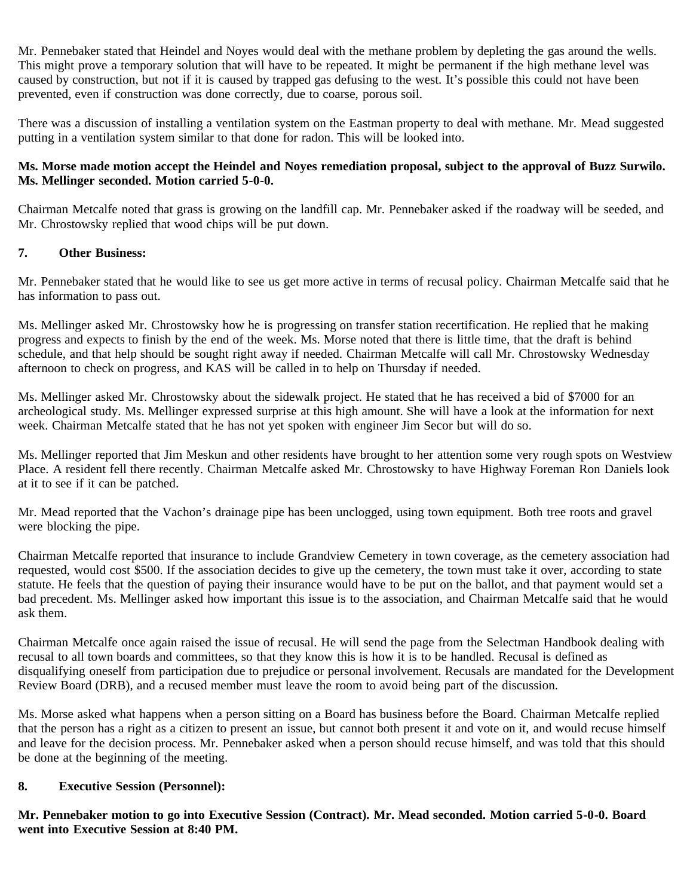Mr. Pennebaker stated that Heindel and Noyes would deal with the methane problem by depleting the gas around the wells. This might prove a temporary solution that will have to be repeated. It might be permanent if the high methane level was caused by construction, but not if it is caused by trapped gas defusing to the west. It's possible this could not have been prevented, even if construction was done correctly, due to coarse, porous soil.

There was a discussion of installing a ventilation system on the Eastman property to deal with methane. Mr. Mead suggested putting in a ventilation system similar to that done for radon. This will be looked into.

### **Ms. Morse made motion accept the Heindel and Noyes remediation proposal, subject to the approval of Buzz Surwilo. Ms. Mellinger seconded. Motion carried 5-0-0.**

Chairman Metcalfe noted that grass is growing on the landfill cap. Mr. Pennebaker asked if the roadway will be seeded, and Mr. Chrostowsky replied that wood chips will be put down.

### **7. Other Business:**

Mr. Pennebaker stated that he would like to see us get more active in terms of recusal policy. Chairman Metcalfe said that he has information to pass out.

Ms. Mellinger asked Mr. Chrostowsky how he is progressing on transfer station recertification. He replied that he making progress and expects to finish by the end of the week. Ms. Morse noted that there is little time, that the draft is behind schedule, and that help should be sought right away if needed. Chairman Metcalfe will call Mr. Chrostowsky Wednesday afternoon to check on progress, and KAS will be called in to help on Thursday if needed.

Ms. Mellinger asked Mr. Chrostowsky about the sidewalk project. He stated that he has received a bid of \$7000 for an archeological study. Ms. Mellinger expressed surprise at this high amount. She will have a look at the information for next week. Chairman Metcalfe stated that he has not yet spoken with engineer Jim Secor but will do so.

Ms. Mellinger reported that Jim Meskun and other residents have brought to her attention some very rough spots on Westview Place. A resident fell there recently. Chairman Metcalfe asked Mr. Chrostowsky to have Highway Foreman Ron Daniels look at it to see if it can be patched.

Mr. Mead reported that the Vachon's drainage pipe has been unclogged, using town equipment. Both tree roots and gravel were blocking the pipe.

Chairman Metcalfe reported that insurance to include Grandview Cemetery in town coverage, as the cemetery association had requested, would cost \$500. If the association decides to give up the cemetery, the town must take it over, according to state statute. He feels that the question of paying their insurance would have to be put on the ballot, and that payment would set a bad precedent. Ms. Mellinger asked how important this issue is to the association, and Chairman Metcalfe said that he would ask them.

Chairman Metcalfe once again raised the issue of recusal. He will send the page from the Selectman Handbook dealing with recusal to all town boards and committees, so that they know this is how it is to be handled. Recusal is defined as disqualifying oneself from participation due to prejudice or personal involvement. Recusals are mandated for the Development Review Board (DRB), and a recused member must leave the room to avoid being part of the discussion.

Ms. Morse asked what happens when a person sitting on a Board has business before the Board. Chairman Metcalfe replied that the person has a right as a citizen to present an issue, but cannot both present it and vote on it, and would recuse himself and leave for the decision process. Mr. Pennebaker asked when a person should recuse himself, and was told that this should be done at the beginning of the meeting.

#### **8. Executive Session (Personnel):**

**Mr. Pennebaker motion to go into Executive Session (Contract). Mr. Mead seconded. Motion carried 5-0-0. Board went into Executive Session at 8:40 PM.**